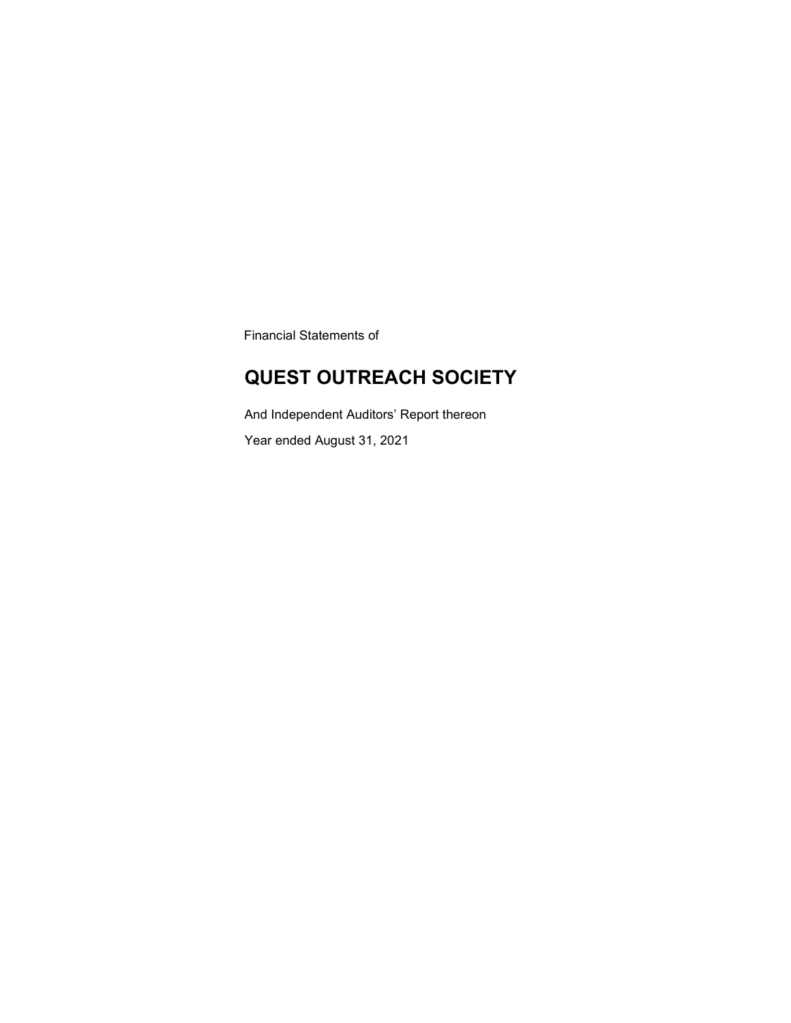Financial Statements of

### **QUEST OUTREACH SOCIETY**

And Independent Auditors' Report thereon

Year ended August 31, 2021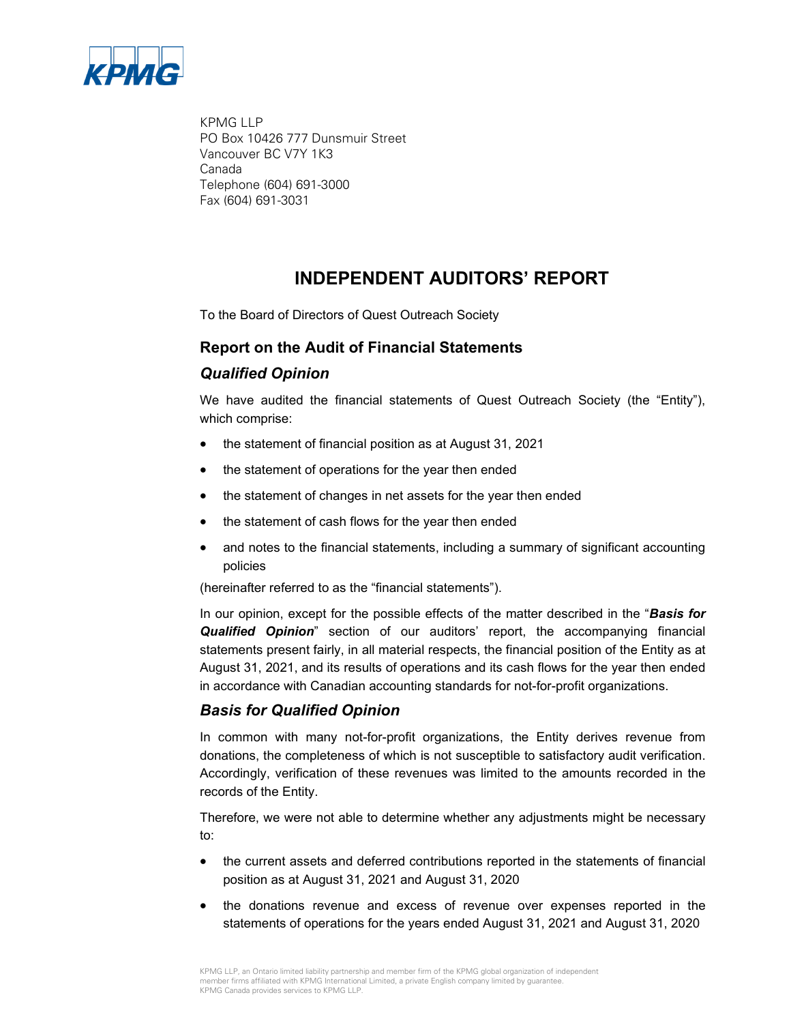

KPMG LLP PO Box 10426 777 Dunsmuir Street Vancouver BC V7Y 1K3 Canada Telephone (604) 691-3000 Fax (604) 691-3031

### **INDEPENDENT AUDITORS' REPORT**

To the Board of Directors of Quest Outreach Society

### **Report on the Audit of Financial Statements**

### *Qualified Opinion*

We have audited the financial statements of Quest Outreach Society (the "Entity"), which comprise:

- the statement of financial position as at August 31, 2021
- the statement of operations for the year then ended
- the statement of changes in net assets for the year then ended
- the statement of cash flows for the year then ended
- and notes to the financial statements, including a summary of significant accounting policies

(hereinafter referred to as the "financial statements").

In our opinion, except for the possible effects of the matter described in the "*Basis for Qualified Opinion*" section of our auditors' report, the accompanying financial statements present fairly, in all material respects, the financial position of the Entity as at August 31, 2021, and its results of operations and its cash flows for the year then ended in accordance with Canadian accounting standards for not-for-profit organizations.

### *Basis for Qualified Opinion*

In common with many not-for-profit organizations, the Entity derives revenue from donations, the completeness of which is not susceptible to satisfactory audit verification. Accordingly, verification of these revenues was limited to the amounts recorded in the records of the Entity.

Therefore, we were not able to determine whether any adjustments might be necessary to:

- the current assets and deferred contributions reported in the statements of financial position as at August 31, 2021 and August 31, 2020
- the donations revenue and excess of revenue over expenses reported in the statements of operations for the years ended August 31, 2021 and August 31, 2020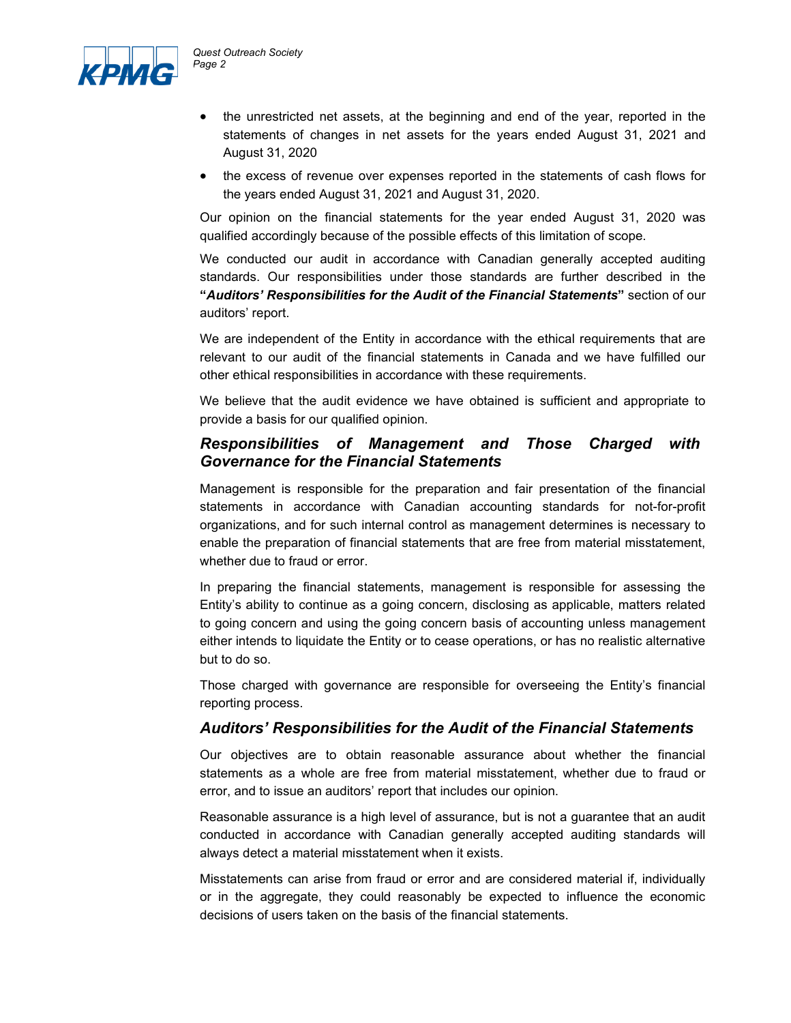

- the unrestricted net assets, at the beginning and end of the year, reported in the statements of changes in net assets for the years ended August 31, 2021 and August 31, 2020
- the excess of revenue over expenses reported in the statements of cash flows for the years ended August 31, 2021 and August 31, 2020.

Our opinion on the financial statements for the year ended August 31, 2020 was qualified accordingly because of the possible effects of this limitation of scope.

We conducted our audit in accordance with Canadian generally accepted auditing standards. Our responsibilities under those standards are further described in the **"***Auditors' Responsibilities for the Audit of the Financial Statements***"** section of our auditors' report.

We are independent of the Entity in accordance with the ethical requirements that are relevant to our audit of the financial statements in Canada and we have fulfilled our other ethical responsibilities in accordance with these requirements.

We believe that the audit evidence we have obtained is sufficient and appropriate to provide a basis for our qualified opinion.

### *Responsibilities of Management and Those Charged with Governance for the Financial Statements*

Management is responsible for the preparation and fair presentation of the financial statements in accordance with Canadian accounting standards for not-for-profit organizations, and for such internal control as management determines is necessary to enable the preparation of financial statements that are free from material misstatement, whether due to fraud or error.

In preparing the financial statements, management is responsible for assessing the Entity's ability to continue as a going concern, disclosing as applicable, matters related to going concern and using the going concern basis of accounting unless management either intends to liquidate the Entity or to cease operations, or has no realistic alternative but to do so.

Those charged with governance are responsible for overseeing the Entity's financial reporting process.

### *Auditors' Responsibilities for the Audit of the Financial Statements*

Our objectives are to obtain reasonable assurance about whether the financial statements as a whole are free from material misstatement, whether due to fraud or error, and to issue an auditors' report that includes our opinion.

Reasonable assurance is a high level of assurance, but is not a guarantee that an audit conducted in accordance with Canadian generally accepted auditing standards will always detect a material misstatement when it exists.

Misstatements can arise from fraud or error and are considered material if, individually or in the aggregate, they could reasonably be expected to influence the economic decisions of users taken on the basis of the financial statements.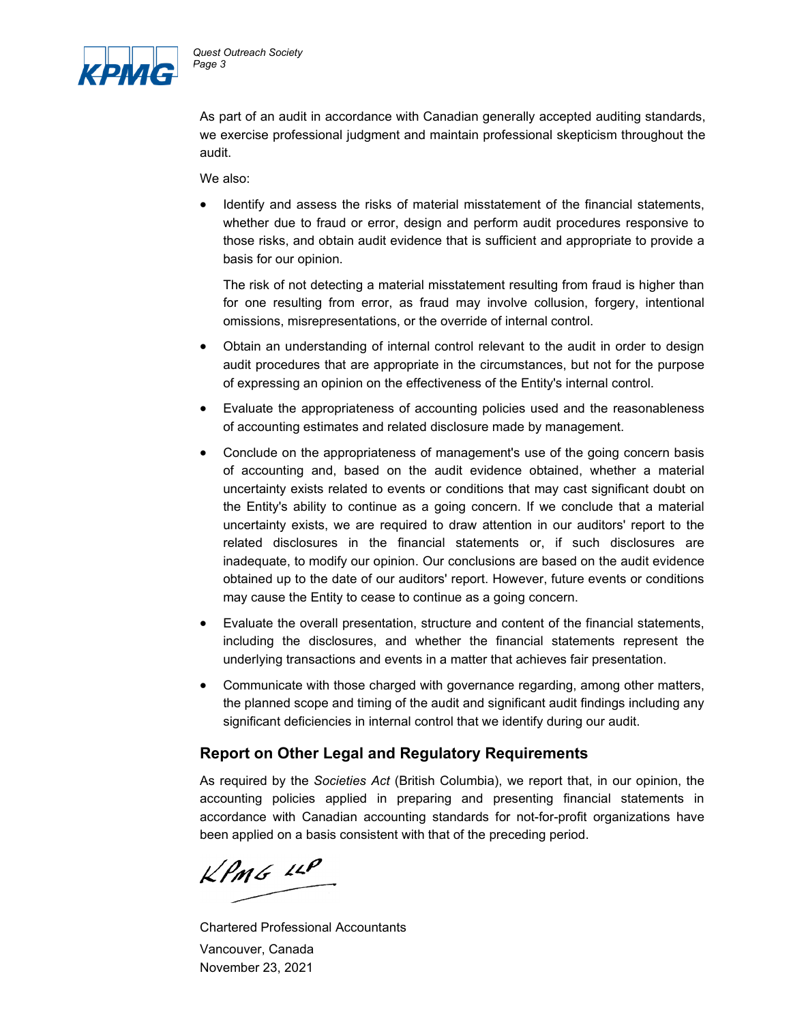

*Quest Outreach Society Page 3*

As part of an audit in accordance with Canadian generally accepted auditing standards, we exercise professional judgment and maintain professional skepticism throughout the audit.

We also:

Identify and assess the risks of material misstatement of the financial statements, whether due to fraud or error, design and perform audit procedures responsive to those risks, and obtain audit evidence that is sufficient and appropriate to provide a basis for our opinion.

The risk of not detecting a material misstatement resulting from fraud is higher than for one resulting from error, as fraud may involve collusion, forgery, intentional omissions, misrepresentations, or the override of internal control.

- Obtain an understanding of internal control relevant to the audit in order to design audit procedures that are appropriate in the circumstances, but not for the purpose of expressing an opinion on the effectiveness of the Entity's internal control.
- Evaluate the appropriateness of accounting policies used and the reasonableness of accounting estimates and related disclosure made by management.
- Conclude on the appropriateness of management's use of the going concern basis of accounting and, based on the audit evidence obtained, whether a material uncertainty exists related to events or conditions that may cast significant doubt on the Entity's ability to continue as a going concern. If we conclude that a material uncertainty exists, we are required to draw attention in our auditors' report to the related disclosures in the financial statements or, if such disclosures are inadequate, to modify our opinion. Our conclusions are based on the audit evidence obtained up to the date of our auditors' report. However, future events or conditions may cause the Entity to cease to continue as a going concern.
- Evaluate the overall presentation, structure and content of the financial statements, including the disclosures, and whether the financial statements represent the underlying transactions and events in a matter that achieves fair presentation.
- Communicate with those charged with governance regarding, among other matters, the planned scope and timing of the audit and significant audit findings including any significant deficiencies in internal control that we identify during our audit.

### **Report on Other Legal and Regulatory Requirements**

As required by the *Societies Act* (British Columbia), we report that, in our opinion, the accounting policies applied in preparing and presenting financial statements in accordance with Canadian accounting standards for not-for-profit organizations have been applied on a basis consistent with that of the preceding period.

 $k$ *PMG 14P* 

Chartered Professional Accountants Vancouver, Canada November 23, 2021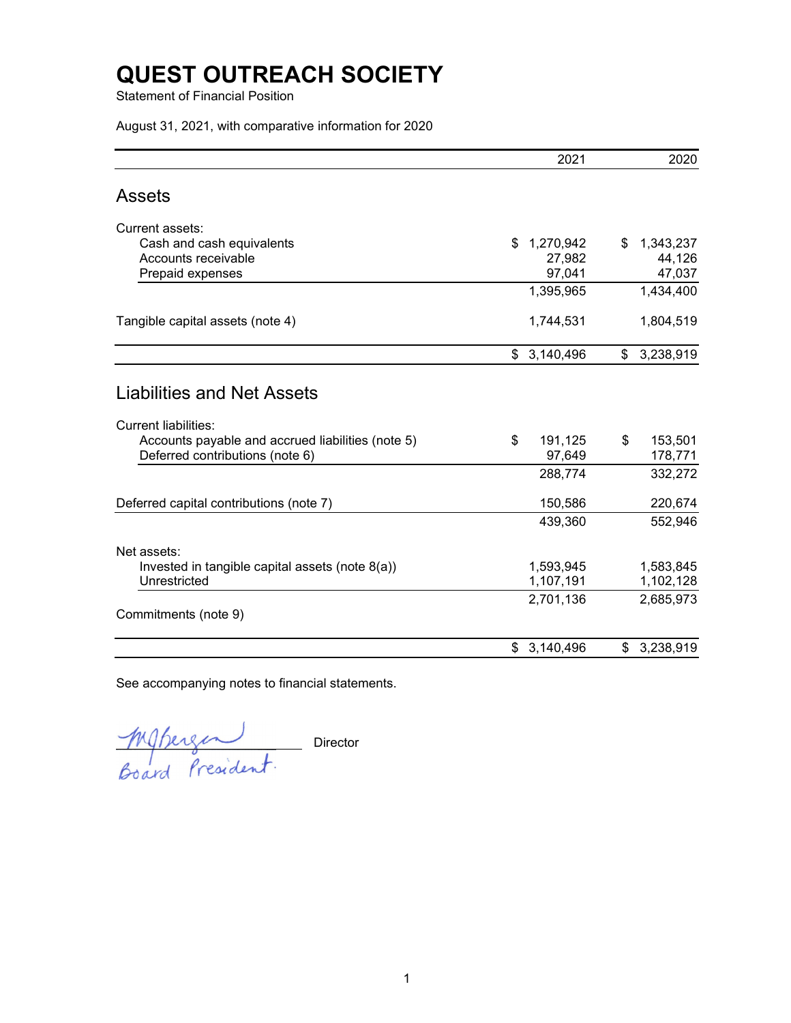Statement of Financial Position

August 31, 2021, with comparative information for 2020

|                                                   | 2021            | 2020            |
|---------------------------------------------------|-----------------|-----------------|
| <b>Assets</b>                                     |                 |                 |
| Current assets:                                   |                 |                 |
| Cash and cash equivalents                         | 1,270,942<br>\$ | \$<br>1,343,237 |
| Accounts receivable                               | 27,982          | 44,126          |
| Prepaid expenses                                  | 97,041          | 47,037          |
|                                                   | 1,395,965       | 1,434,400       |
| Tangible capital assets (note 4)                  | 1,744,531       | 1,804,519       |
|                                                   | \$<br>3,140,496 | \$<br>3,238,919 |
| <b>Liabilities and Net Assets</b>                 |                 |                 |
| <b>Current liabilities:</b>                       |                 |                 |
| Accounts payable and accrued liabilities (note 5) | \$<br>191,125   | 153,501<br>\$   |
| Deferred contributions (note 6)                   | 97,649          | 178,771         |
|                                                   | 288,774         | 332,272         |
| Deferred capital contributions (note 7)           | 150,586         | 220,674         |
|                                                   | 439,360         | 552,946         |
| Net assets:                                       |                 |                 |
| Invested in tangible capital assets (note 8(a))   | 1,593,945       | 1,583,845       |
| Unrestricted                                      | 1,107,191       | 1,102,128       |
|                                                   | 2,701,136       | 2,685,973       |
| Commitments (note 9)                              |                 |                 |
|                                                   | \$3,140,496     | \$3,238,919     |

Mighergen<br>Board President.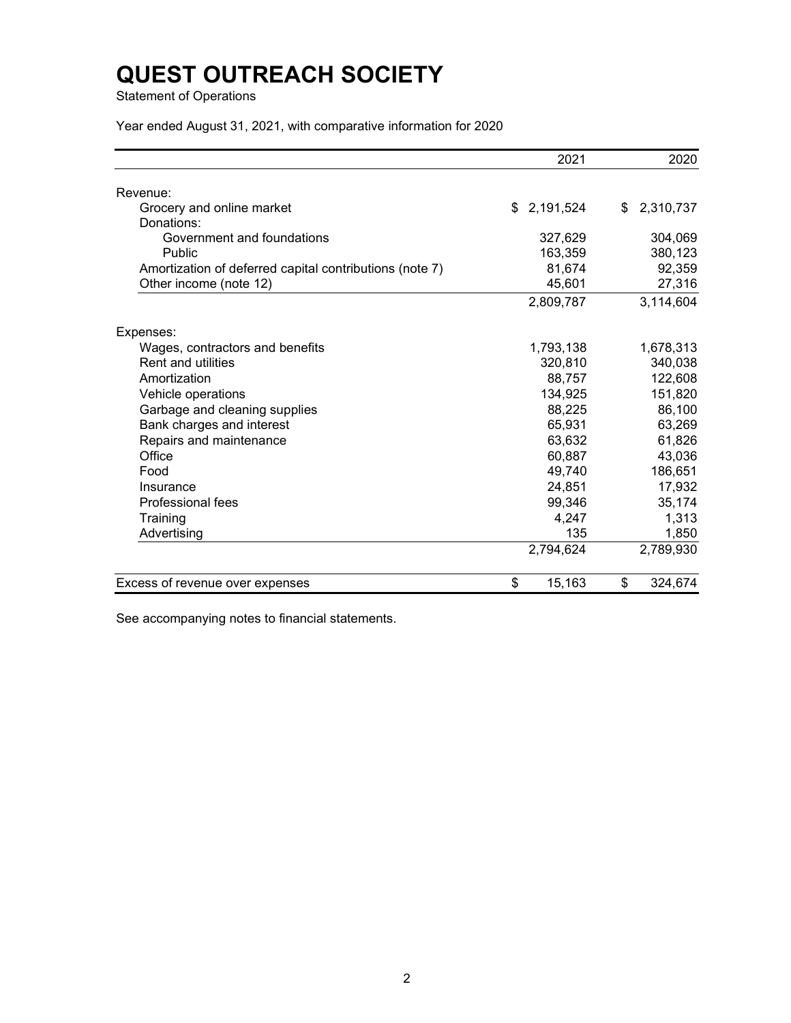Statement of Operations

Year ended August 31, 2021, with comparative information for 2020

|                                                         | 2021            | 2020            |
|---------------------------------------------------------|-----------------|-----------------|
| Revenue:                                                |                 |                 |
| Grocery and online market                               | 2,191,524<br>\$ | 2,310,737<br>\$ |
| Donations:                                              |                 |                 |
| Government and foundations                              | 327,629         | 304,069         |
| Public                                                  | 163,359         | 380,123         |
| Amortization of deferred capital contributions (note 7) | 81,674          | 92,359          |
| Other income (note 12)                                  | 45,601          | 27,316          |
|                                                         | 2,809,787       | 3,114,604       |
| Expenses:                                               |                 |                 |
| Wages, contractors and benefits                         | 1,793,138       | 1,678,313       |
| <b>Rent and utilities</b>                               | 320,810         | 340,038         |
| Amortization                                            | 88,757          | 122,608         |
| Vehicle operations                                      | 134,925         | 151,820         |
| Garbage and cleaning supplies                           | 88,225          | 86,100          |
| Bank charges and interest                               | 65,931          | 63,269          |
| Repairs and maintenance                                 | 63,632          | 61,826          |
| Office                                                  | 60,887          | 43,036          |
| Food                                                    | 49,740          | 186,651         |
| Insurance                                               | 24,851          | 17,932          |
| Professional fees                                       | 99,346          | 35,174          |
| Training                                                | 4,247           | 1,313           |
| Advertising                                             | 135             | 1,850           |
|                                                         | 2,794,624       | 2,789,930       |
| Excess of revenue over expenses                         | \$<br>15,163    | \$<br>324,674   |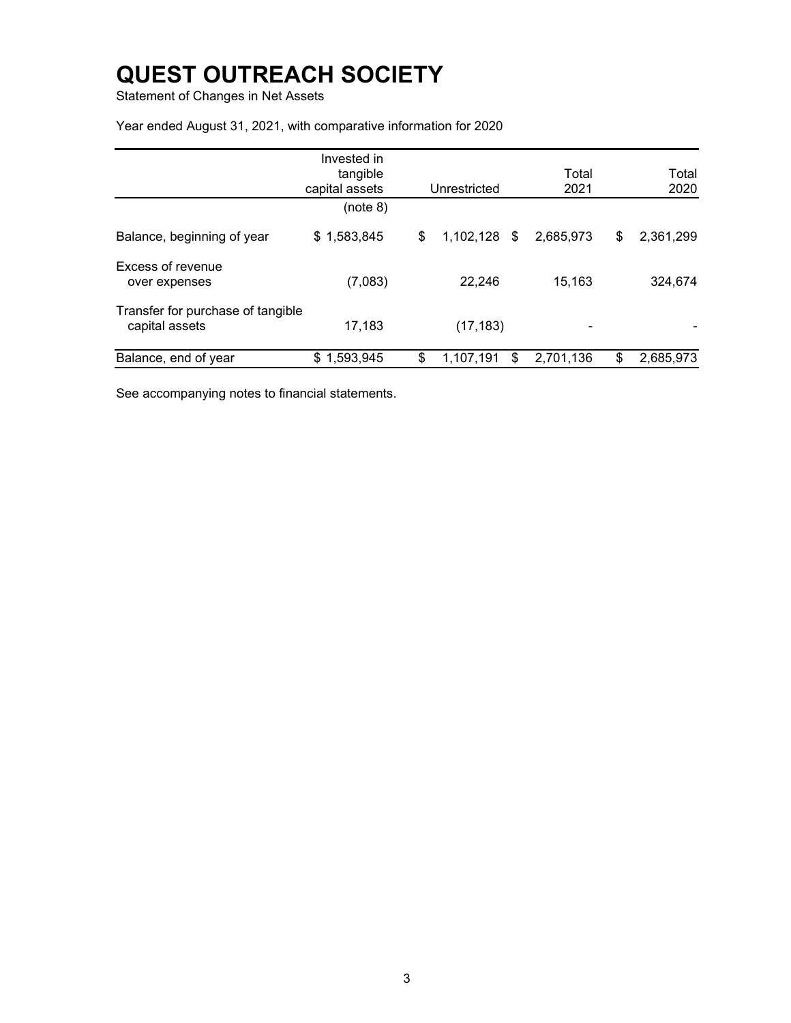Statement of Changes in Net Assets

|                                                     | Invested in<br>tangible<br>capital assets | Unrestricted         | Total<br>2021   | Total<br>2020   |
|-----------------------------------------------------|-------------------------------------------|----------------------|-----------------|-----------------|
|                                                     | (note 8)                                  |                      |                 |                 |
| Balance, beginning of year                          | \$1,583,845                               | \$<br>$1,102,128$ \$ | 2,685,973       | \$<br>2,361,299 |
| Excess of revenue<br>over expenses                  | (7,083)                                   | 22,246               | 15,163          | 324,674         |
| Transfer for purchase of tangible<br>capital assets | 17,183                                    | (17, 183)            | ۰               |                 |
| Balance, end of year                                | \$1,593,945                               | \$<br>1,107,191      | \$<br>2,701,136 | \$<br>2,685,973 |

Year ended August 31, 2021, with comparative information for 2020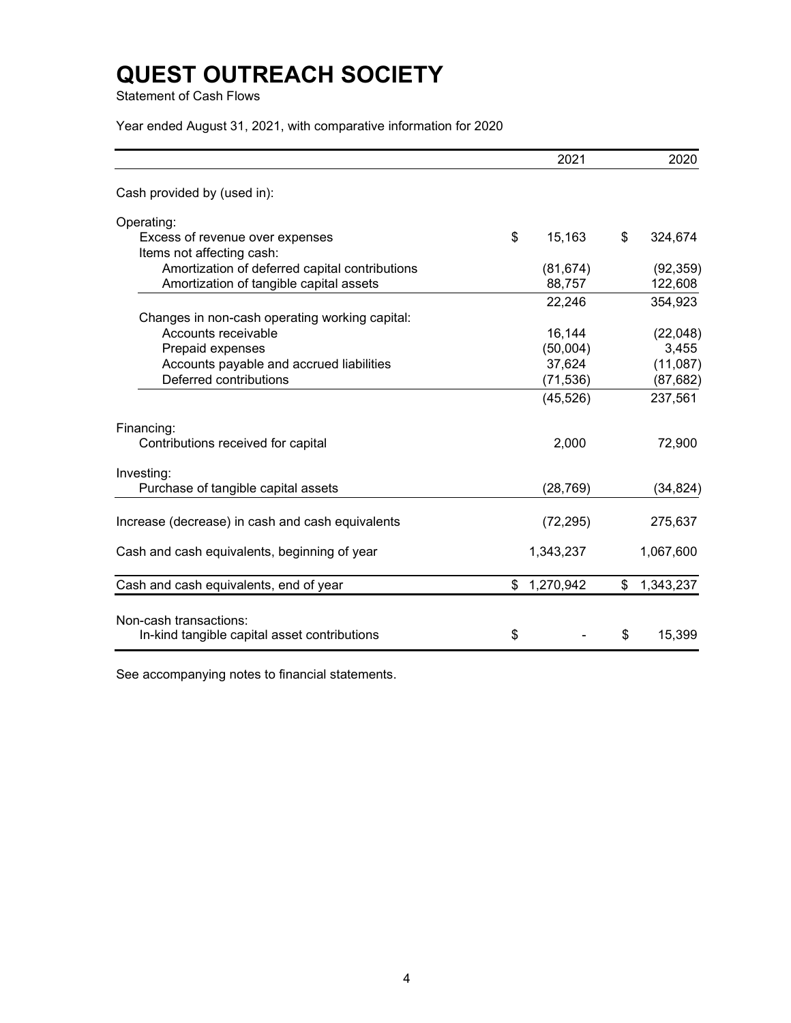Statement of Cash Flows

Year ended August 31, 2021, with comparative information for 2020

|                                                                             | 2021            | 2020            |
|-----------------------------------------------------------------------------|-----------------|-----------------|
| Cash provided by (used in):                                                 |                 |                 |
| Operating:                                                                  |                 |                 |
| Excess of revenue over expenses                                             | \$<br>15,163    | \$<br>324,674   |
| Items not affecting cash:<br>Amortization of deferred capital contributions | (81, 674)       | (92, 359)       |
| Amortization of tangible capital assets                                     | 88,757          | 122,608         |
|                                                                             |                 |                 |
| Changes in non-cash operating working capital:                              | 22,246          | 354,923         |
| Accounts receivable                                                         | 16,144          | (22,048)        |
| Prepaid expenses                                                            | (50,004)        | 3,455           |
| Accounts payable and accrued liabilities                                    | 37,624          | (11,087)        |
| Deferred contributions                                                      | (71, 536)       | (87, 682)       |
|                                                                             | (45, 526)       | 237,561         |
| Financing:                                                                  |                 |                 |
| Contributions received for capital                                          | 2,000           | 72,900          |
| Investing:                                                                  |                 |                 |
| Purchase of tangible capital assets                                         | (28, 769)       | (34, 824)       |
| Increase (decrease) in cash and cash equivalents                            | (72, 295)       | 275,637         |
| Cash and cash equivalents, beginning of year                                | 1,343,237       | 1,067,600       |
| Cash and cash equivalents, end of year                                      | \$<br>1,270,942 | \$<br>1,343,237 |
|                                                                             |                 |                 |
| Non-cash transactions:                                                      |                 |                 |
| In-kind tangible capital asset contributions                                | \$              | \$<br>15,399    |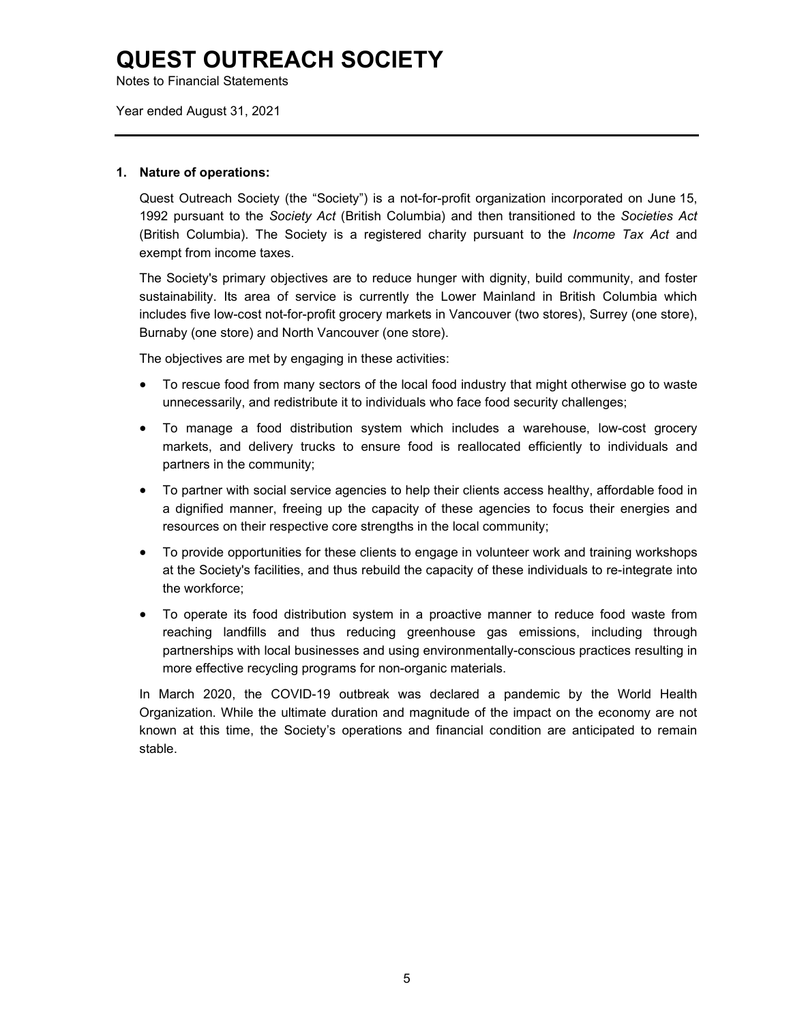Notes to Financial Statements

Year ended August 31, 2021

#### **1. Nature of operations:**

Quest Outreach Society (the "Society") is a not-for-profit organization incorporated on June 15, 1992 pursuant to the *Society Act* (British Columbia) and then transitioned to the *Societies Act*  (British Columbia). The Society is a registered charity pursuant to the *Income Tax Act* and exempt from income taxes.

The Society's primary objectives are to reduce hunger with dignity, build community, and foster sustainability. Its area of service is currently the Lower Mainland in British Columbia which includes five low-cost not-for-profit grocery markets in Vancouver (two stores), Surrey (one store), Burnaby (one store) and North Vancouver (one store).

The objectives are met by engaging in these activities:

- To rescue food from many sectors of the local food industry that might otherwise go to waste unnecessarily, and redistribute it to individuals who face food security challenges;
- To manage a food distribution system which includes a warehouse, low-cost grocery markets, and delivery trucks to ensure food is reallocated efficiently to individuals and partners in the community;
- To partner with social service agencies to help their clients access healthy, affordable food in a dignified manner, freeing up the capacity of these agencies to focus their energies and resources on their respective core strengths in the local community;
- To provide opportunities for these clients to engage in volunteer work and training workshops at the Society's facilities, and thus rebuild the capacity of these individuals to re-integrate into the workforce;
- To operate its food distribution system in a proactive manner to reduce food waste from reaching landfills and thus reducing greenhouse gas emissions, including through partnerships with local businesses and using environmentally-conscious practices resulting in more effective recycling programs for non-organic materials.

In March 2020, the COVID-19 outbreak was declared a pandemic by the World Health Organization. While the ultimate duration and magnitude of the impact on the economy are not known at this time, the Society's operations and financial condition are anticipated to remain stable.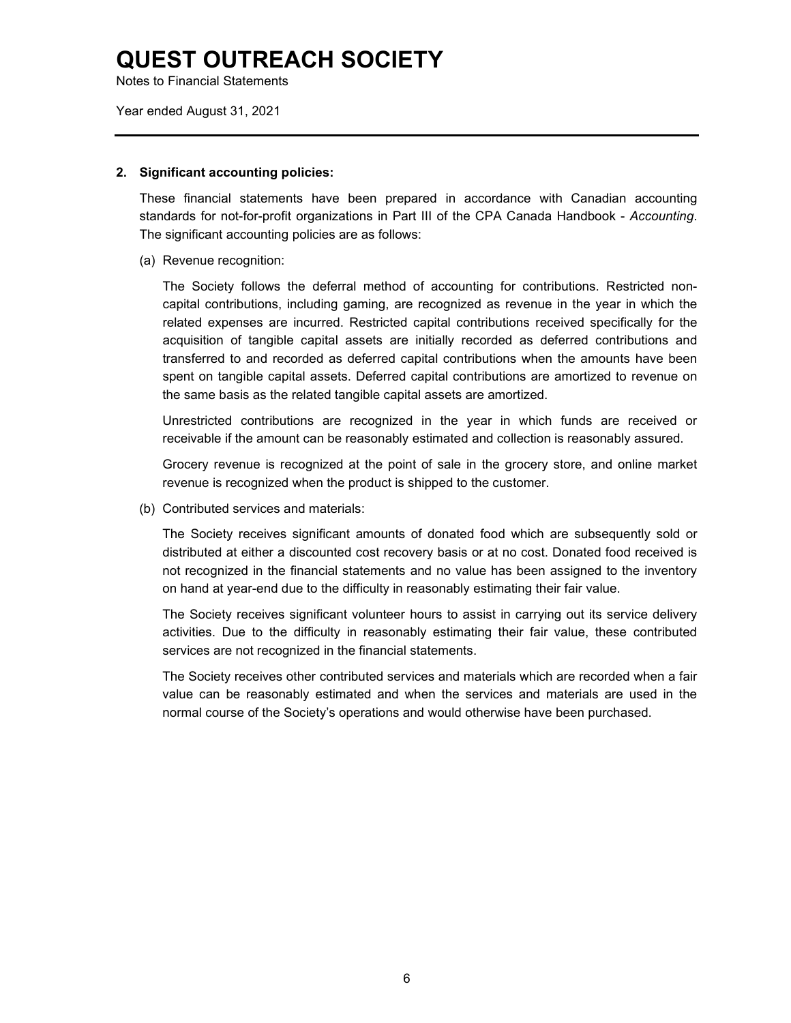Notes to Financial Statements

Year ended August 31, 2021

#### **2. Significant accounting policies:**

These financial statements have been prepared in accordance with Canadian accounting standards for not-for-profit organizations in Part III of the CPA Canada Handbook - *Accounting*. The significant accounting policies are as follows:

(a) Revenue recognition:

The Society follows the deferral method of accounting for contributions. Restricted noncapital contributions, including gaming, are recognized as revenue in the year in which the related expenses are incurred. Restricted capital contributions received specifically for the acquisition of tangible capital assets are initially recorded as deferred contributions and transferred to and recorded as deferred capital contributions when the amounts have been spent on tangible capital assets. Deferred capital contributions are amortized to revenue on the same basis as the related tangible capital assets are amortized.

Unrestricted contributions are recognized in the year in which funds are received or receivable if the amount can be reasonably estimated and collection is reasonably assured.

Grocery revenue is recognized at the point of sale in the grocery store, and online market revenue is recognized when the product is shipped to the customer.

(b) Contributed services and materials:

The Society receives significant amounts of donated food which are subsequently sold or distributed at either a discounted cost recovery basis or at no cost. Donated food received is not recognized in the financial statements and no value has been assigned to the inventory on hand at year-end due to the difficulty in reasonably estimating their fair value.

The Society receives significant volunteer hours to assist in carrying out its service delivery activities. Due to the difficulty in reasonably estimating their fair value, these contributed services are not recognized in the financial statements.

The Society receives other contributed services and materials which are recorded when a fair value can be reasonably estimated and when the services and materials are used in the normal course of the Society's operations and would otherwise have been purchased.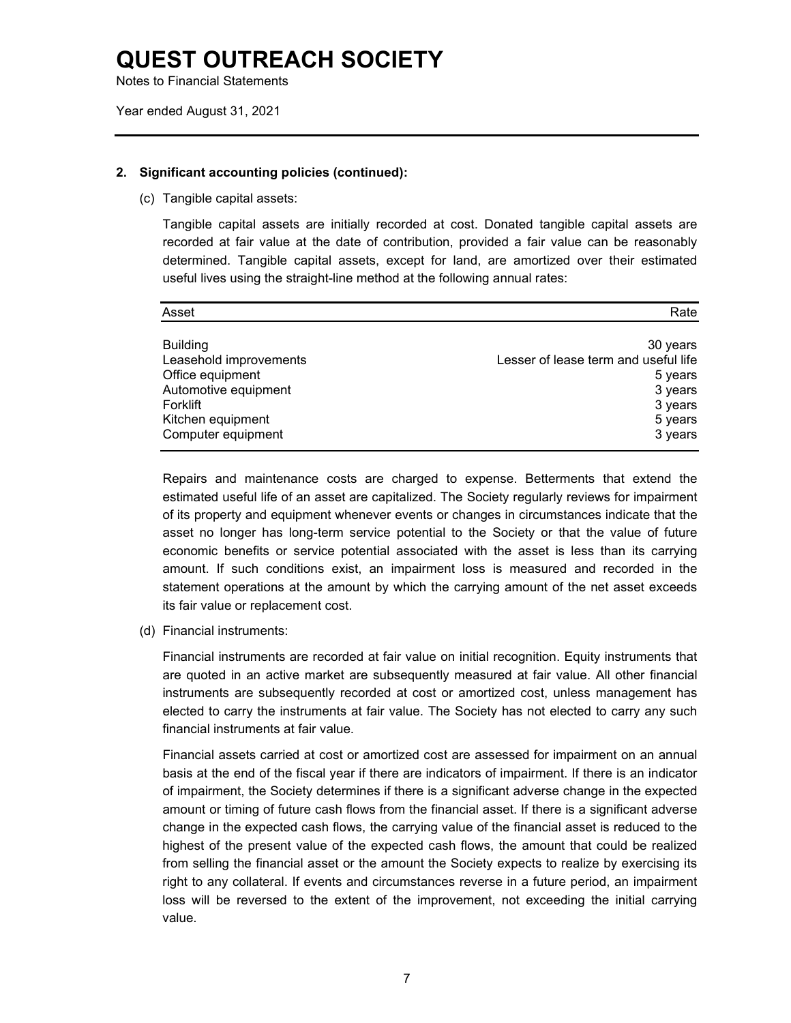Notes to Financial Statements

#### **2. Significant accounting policies (continued):**

(c) Tangible capital assets:

Tangible capital assets are initially recorded at cost. Donated tangible capital assets are recorded at fair value at the date of contribution, provided a fair value can be reasonably determined. Tangible capital assets, except for land, are amortized over their estimated useful lives using the straight-line method at the following annual rates:

| Asset                  | Rate                                 |
|------------------------|--------------------------------------|
| <b>Building</b>        | 30 years                             |
| Leasehold improvements | Lesser of lease term and useful life |
| Office equipment       | 5 years                              |
| Automotive equipment   | 3 years                              |
| Forklift               | 3 years                              |
| Kitchen equipment      | 5 years                              |
| Computer equipment     | 3 years                              |

Repairs and maintenance costs are charged to expense. Betterments that extend the estimated useful life of an asset are capitalized. The Society regularly reviews for impairment of its property and equipment whenever events or changes in circumstances indicate that the asset no longer has long-term service potential to the Society or that the value of future economic benefits or service potential associated with the asset is less than its carrying amount. If such conditions exist, an impairment loss is measured and recorded in the statement operations at the amount by which the carrying amount of the net asset exceeds its fair value or replacement cost.

(d) Financial instruments:

Financial instruments are recorded at fair value on initial recognition. Equity instruments that are quoted in an active market are subsequently measured at fair value. All other financial instruments are subsequently recorded at cost or amortized cost, unless management has elected to carry the instruments at fair value. The Society has not elected to carry any such financial instruments at fair value.

Financial assets carried at cost or amortized cost are assessed for impairment on an annual basis at the end of the fiscal year if there are indicators of impairment. If there is an indicator of impairment, the Society determines if there is a significant adverse change in the expected amount or timing of future cash flows from the financial asset. If there is a significant adverse change in the expected cash flows, the carrying value of the financial asset is reduced to the highest of the present value of the expected cash flows, the amount that could be realized from selling the financial asset or the amount the Society expects to realize by exercising its right to any collateral. If events and circumstances reverse in a future period, an impairment loss will be reversed to the extent of the improvement, not exceeding the initial carrying value.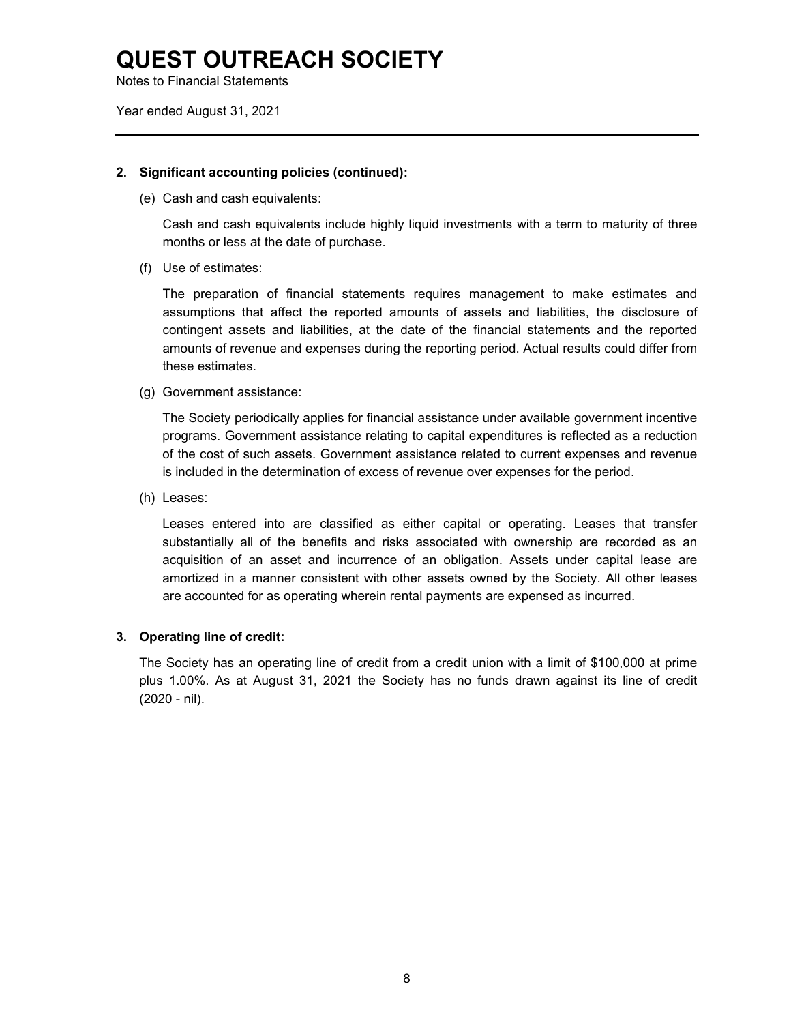Notes to Financial Statements

Year ended August 31, 2021

#### **2. Significant accounting policies (continued):**

(e) Cash and cash equivalents:

Cash and cash equivalents include highly liquid investments with a term to maturity of three months or less at the date of purchase.

(f) Use of estimates:

The preparation of financial statements requires management to make estimates and assumptions that affect the reported amounts of assets and liabilities, the disclosure of contingent assets and liabilities, at the date of the financial statements and the reported amounts of revenue and expenses during the reporting period. Actual results could differ from these estimates.

(g) Government assistance:

The Society periodically applies for financial assistance under available government incentive programs. Government assistance relating to capital expenditures is reflected as a reduction of the cost of such assets. Government assistance related to current expenses and revenue is included in the determination of excess of revenue over expenses for the period.

(h) Leases:

Leases entered into are classified as either capital or operating. Leases that transfer substantially all of the benefits and risks associated with ownership are recorded as an acquisition of an asset and incurrence of an obligation. Assets under capital lease are amortized in a manner consistent with other assets owned by the Society. All other leases are accounted for as operating wherein rental payments are expensed as incurred.

### **3. Operating line of credit:**

The Society has an operating line of credit from a credit union with a limit of \$100,000 at prime plus 1.00%. As at August 31, 2021 the Society has no funds drawn against its line of credit (2020 - nil).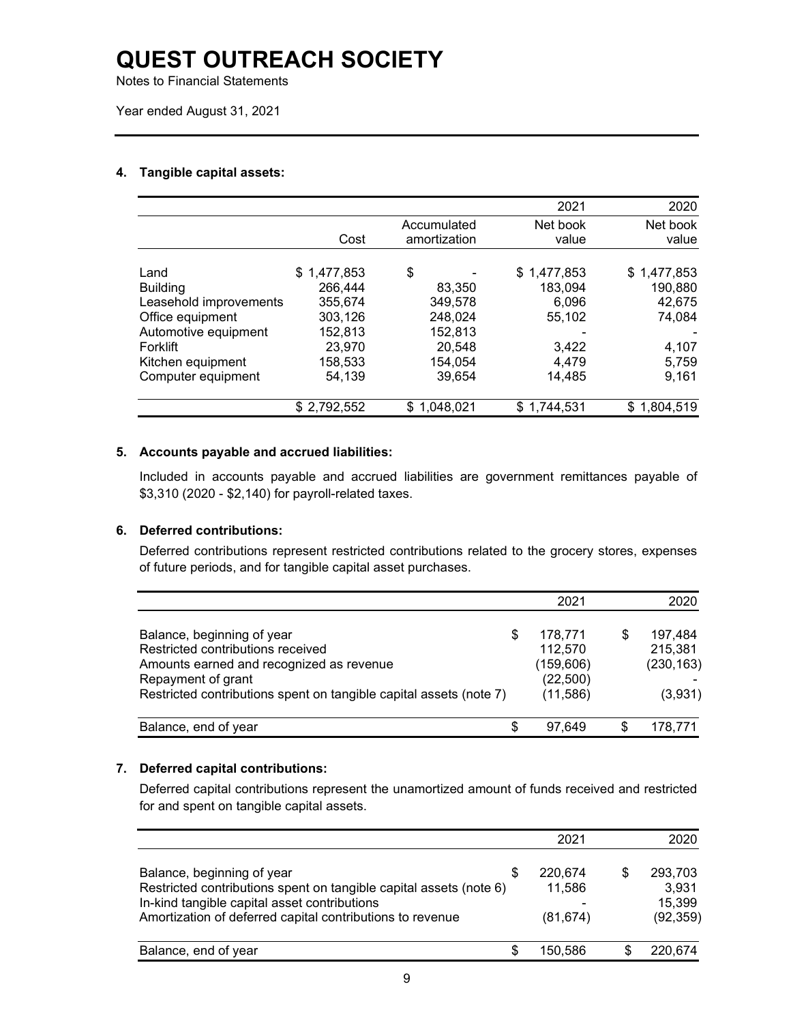Notes to Financial Statements

Year ended August 31, 2021

#### **4. Tangible capital assets:**

|                        |                  |              | 2021        | 2020        |
|------------------------|------------------|--------------|-------------|-------------|
|                        |                  | Accumulated  | Net book    | Net book    |
|                        | Cost             | amortization | value       | value       |
| Land                   | 1,477,853<br>\$. | \$           | \$1,477,853 | \$1,477,853 |
| <b>Building</b>        | 266.444          | 83.350       | 183,094     | 190,880     |
| Leasehold improvements | 355,674          | 349.578      | 6,096       | 42,675      |
| Office equipment       | 303,126          | 248,024      | 55,102      | 74,084      |
| Automotive equipment   | 152,813          | 152,813      |             |             |
| Forklift               | 23,970           | 20,548       | 3,422       | 4,107       |
| Kitchen equipment      | 158,533          | 154,054      | 4.479       | 5,759       |
| Computer equipment     | 54,139           | 39,654       | 14,485      | 9,161       |
|                        | \$2,792,552      | \$1,048,021  | \$1,744,531 | \$1,804,519 |

### **5. Accounts payable and accrued liabilities:**

Included in accounts payable and accrued liabilities are government remittances payable of \$3,310 (2020 - \$2,140) for payroll-related taxes.

### **6. Deferred contributions:**

Deferred contributions represent restricted contributions related to the grocery stores, expenses of future periods, and for tangible capital asset purchases.

|                                                                      | 2021                    | 2020               |
|----------------------------------------------------------------------|-------------------------|--------------------|
| Balance, beginning of year<br>S<br>Restricted contributions received | 178,771<br>112,570      | 197,484<br>215,381 |
| Amounts earned and recognized as revenue<br>Repayment of grant       | (159, 606)<br>(22, 500) | (230, 163)         |
| Restricted contributions spent on tangible capital assets (note 7)   | (11, 586)               | (3,931)            |
| Balance, end of year<br>S                                            | 97.649                  | 178,771            |

#### **7. Deferred capital contributions:**

Deferred capital contributions represent the unamortized amount of funds received and restricted for and spent on tangible capital assets.

|                                                                                                                                                  |    | 2021              | 2020                       |
|--------------------------------------------------------------------------------------------------------------------------------------------------|----|-------------------|----------------------------|
| Balance, beginning of year<br>Restricted contributions spent on tangible capital assets (note 6)<br>In-kind tangible capital asset contributions | S. | 220,674<br>11,586 | 293,703<br>3,931<br>15,399 |
| Amortization of deferred capital contributions to revenue                                                                                        |    | (81, 674)         | (92, 359)                  |
| Balance, end of year                                                                                                                             |    | 150.586           | 220.674                    |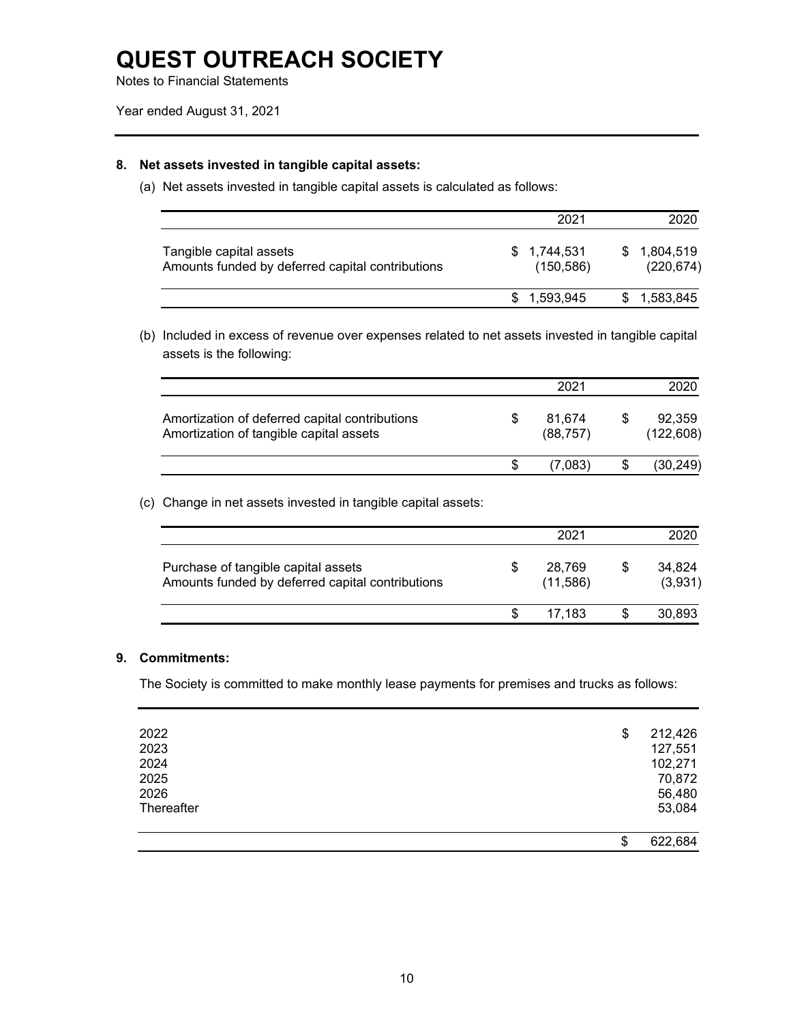Notes to Financial Statements

#### **8. Net assets invested in tangible capital assets:**

(a) Net assets invested in tangible capital assets is calculated as follows:

|                                                                             | 2021                      | 2020                          |
|-----------------------------------------------------------------------------|---------------------------|-------------------------------|
| Tangible capital assets<br>Amounts funded by deferred capital contributions | \$1,744,531<br>(150, 586) | 1,804,519<br>S.<br>(220, 674) |
|                                                                             | \$1,593,945               | \$1,583,845                   |

(b) Included in excess of revenue over expenses related to net assets invested in tangible capital assets is the following:

|                                                                                           | 2021                |     | 2020                 |
|-------------------------------------------------------------------------------------------|---------------------|-----|----------------------|
| Amortization of deferred capital contributions<br>Amortization of tangible capital assets | 81,674<br>(88, 757) | \$. | 92,359<br>(122, 608) |
|                                                                                           | 7.083)              | S   | (30, 249)            |

(c) Change in net assets invested in tangible capital assets:

|                                                                                         | 2021               |   | 2020              |
|-----------------------------------------------------------------------------------------|--------------------|---|-------------------|
| Purchase of tangible capital assets<br>Amounts funded by deferred capital contributions | 28,769<br>(11,586) | S | 34.824<br>(3,931) |
|                                                                                         | 17.183             |   | 30,893            |

#### **9. Commitments:**

The Society is committed to make monthly lease payments for premises and trucks as follows:

|            | \$<br>622,684 |
|------------|---------------|
| Thereafter | 53,084        |
| 2026       | 56,480        |
| 2025       | 70,872        |
| 2024       | 102,271       |
| 2023       | 127,551       |
| 2022       | \$<br>212,426 |